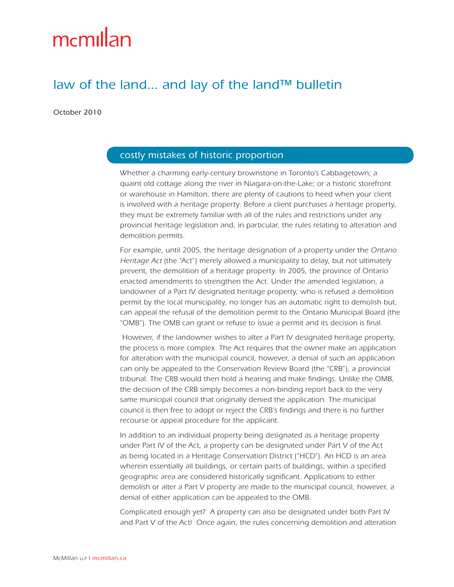# mcmillan

# law of the land... and lay of the land™ bulletin

October 2010

## costly mistakes of historic proportion

Whether a charming early-century brownstone in Toronto's Cabbagetown; a quaint old cottage along the river in Niagara-on-the-Lake; or a historic storefront or warehouse in Hamilton, there are plenty of cautions to heed when your client is involved with a heritage property. Before a client purchases a heritage property, they must be extremely familiar with all of the rules and restrictions under any provincial heritage legislation and, in particular, the rules relating to alteration and demolition permits.

For example, until 2005, the heritage designation of a property under the Ontario Heritage Act (the "Act") merely allowed a municipality to delay, but not ultimately prevent, the demolition of a heritage property. In 2005, the province of Ontario enacted amendments to strengthen the Act. Under the amended legislation, a landowner of a Part IV designated heritage property, who is refused a demolition permit by the local municipality, no longer has an automatic right to demolish but, can appeal the refusal of the demolition permit to the Ontario Municipal Board (the "OMB"). The OMB can grant or refuse to issue a permit and its decision is final.

 However, if the landowner wishes to alter a Part IV designated heritage property, the process is more complex. The Act requires that the owner make an application for alteration with the municipal council, however, a denial of such an application can only be appealed to the Conservation Review Board (the "CRB"), a provincial tribunal. The CRB would then hold a hearing and make findings. Unlike the OMB, the decision of the CRB simply becomes a non-binding report back to the very same municipal council that originally denied the application. The municipal council is then free to adopt or reject the CRB's findings and there is no further recourse or appeal procedure for the applicant.

In addition to an individual property being designated as a heritage property under Part IV of the Act, a property can be designated under Part V of the Act as being located in a Heritage Conservation District ("HCD"). An HCD is an area wherein essentially all buildings, or certain parts of buildings, within a specified geographic area are considered historically significant. Applications to either demolish or alter a Part V property are made to the municipal council, however, a denial of either application can be appealed to the OMB.

Complicated enough yet? A property can also be designated under both Part IV and Part V of the Act! Once again, the rules concerning demolition and alteration